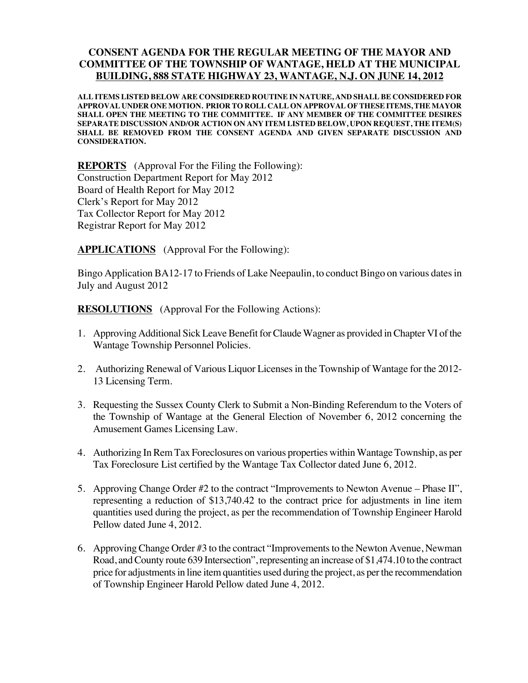## **CONSENT AGENDA FOR THE REGULAR MEETING OF THE MAYOR AND COMMITTEE OF THE TOWNSHIP OF WANTAGE, HELD AT THE MUNICIPAL BUILDING, 888 STATE HIGHWAY 23, WANTAGE, N.J. ON JUNE 14, 2012**

**ALL ITEMS LISTED BELOW ARE CONSIDERED ROUTINE IN NATURE, AND SHALL BE CONSIDERED FOR APPROVAL UNDER ONE MOTION. PRIOR TO ROLL CALL ON APPROVAL OF THESE ITEMS, THE MAYOR SHALL OPEN THE MEETING TO THE COMMITTEE. IF ANY MEMBER OF THE COMMITTEE DESIRES SEPARATE DISCUSSION AND/OR ACTION ON ANY ITEM LISTED BELOW, UPON REQUEST, THE ITEM(S) SHALL BE REMOVED FROM THE CONSENT AGENDA AND GIVEN SEPARATE DISCUSSION AND CONSIDERATION.**

**REPORTS** (Approval For the Filing the Following): Construction Department Report for May 2012 Board of Health Report for May 2012 Clerk's Report for May 2012 Tax Collector Report for May 2012 Registrar Report for May 2012

**APPLICATIONS** (Approval For the Following):

Bingo Application BA12-17 to Friends of Lake Neepaulin, to conduct Bingo on various dates in July and August 2012

**RESOLUTIONS** (Approval For the Following Actions):

- 1. Approving Additional Sick Leave Benefit for Claude Wagner as provided in Chapter VI of the Wantage Township Personnel Policies.
- 2. Authorizing Renewal of Various Liquor Licenses in the Township of Wantage for the 2012- 13 Licensing Term.
- 3. Requesting the Sussex County Clerk to Submit a Non-Binding Referendum to the Voters of the Township of Wantage at the General Election of November 6, 2012 concerning the Amusement Games Licensing Law.
- 4. Authorizing In Rem Tax Foreclosures on various properties within Wantage Township, as per Tax Foreclosure List certified by the Wantage Tax Collector dated June 6, 2012.
- 5. Approving Change Order #2 to the contract "Improvements to Newton Avenue Phase II", representing a reduction of \$13,740.42 to the contract price for adjustments in line item quantities used during the project, as per the recommendation of Township Engineer Harold Pellow dated June 4, 2012.
- 6. Approving Change Order #3 to the contract "Improvements to the Newton Avenue, Newman Road, and County route 639 Intersection", representing an increase of \$1,474.10 to the contract price for adjustments in line item quantities used during the project, as per the recommendation of Township Engineer Harold Pellow dated June 4, 2012.